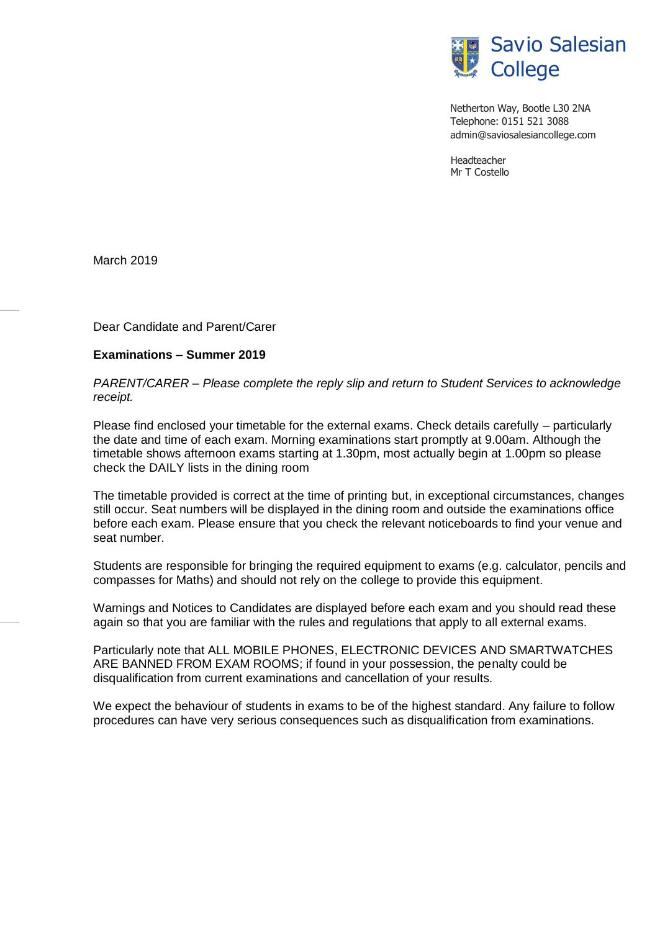

Netherton Way, Bootle L30 2NA Telephone: 0151 521 3088 [admin@saviosalesiancollege.com](mailto:admin@saviosalesiancollege.com)

Headteacher Mr T Costello

March 2019

Dear Candidate and Parent/Carer

## **Examinations – Summer 2019**

*PARENT/CARER – Please complete the reply slip and return to Student Services to acknowledge receipt.*

Please find enclosed your timetable for the external exams. Check details carefully – particularly the date and time of each exam. Morning examinations start promptly at 9.00am. Although the timetable shows afternoon exams starting at 1.30pm, most actually begin at 1.00pm so please check the DAILY lists in the dining room

The timetable provided is correct at the time of printing but, in exceptional circumstances, changes still occur. Seat numbers will be displayed in the dining room and outside the examinations office before each exam. Please ensure that you check the relevant noticeboards to find your venue and seat number.

Students are responsible for bringing the required equipment to exams (e.g. calculator, pencils and compasses for Maths) and should not rely on the college to provide this equipment.

Warnings and Notices to Candidates are displayed before each exam and you should read these again so that you are familiar with the rules and regulations that apply to all external exams.

Particularly note that ALL MOBILE PHONES, ELECTRONIC DEVICES AND SMARTWATCHES ARE BANNED FROM EXAM ROOMS; if found in your possession, the penalty could be disqualification from current examinations and cancellation of your results.

We expect the behaviour of students in exams to be of the highest standard. Any failure to follow procedures can have very serious consequences such as disqualification from examinations.